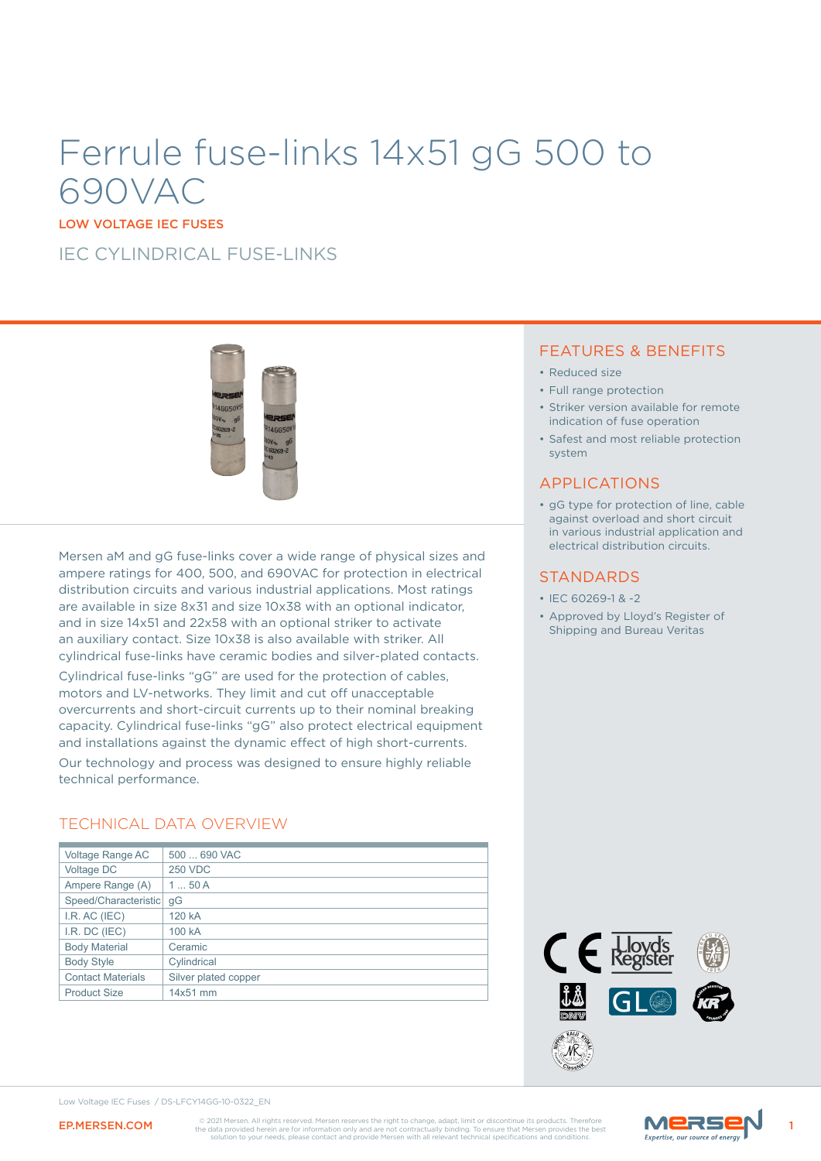# Ferrule fuse-links 14x51 gG 500 to 690VAC

LOW VOLTAGE IEC FUSES

IEC CYLINDRICAL FUSE-LINKS



Mersen aM and gG fuse-links cover a wide range of physical sizes and ampere ratings for 400, 500, and 690VAC for protection in electrical distribution circuits and various industrial applications. Most ratings are available in size 8x31 and size 10x38 with an optional indicator, and in size 14x51 and 22x58 with an optional striker to activate an auxiliary contact. Size 10x38 is also available with striker. All cylindrical fuse-links have ceramic bodies and silver-plated contacts.

Cylindrical fuse-links "gG" are used for the protection of cables, motors and LV-networks. They limit and cut off unacceptable overcurrents and short-circuit currents up to their nominal breaking capacity. Cylindrical fuse-links "gG" also protect electrical equipment and installations against the dynamic effect of high short-currents.

Our technology and process was designed to ensure highly reliable technical performance.

### TECHNICAL DATA OVERVIEW

| Voltage Range AC         | 500  690 VAC         |  |  |
|--------------------------|----------------------|--|--|
| Voltage DC               | <b>250 VDC</b>       |  |  |
| Ampere Range (A)         | 150A                 |  |  |
| Speed/Characteristic     | qG                   |  |  |
| I.R. AC (IEC)            | 120 kA               |  |  |
| I.R. DC (IEC)            | 100 kA               |  |  |
| <b>Body Material</b>     | Ceramic              |  |  |
| <b>Body Style</b>        | Cylindrical          |  |  |
| <b>Contact Materials</b> | Silver plated copper |  |  |
| <b>Product Size</b>      | 14x51 mm             |  |  |

### FEATURES & BENEFITS

- Reduced size
- Full range protection
- Striker version available for remote indication of fuse operation
- Safest and most reliable protection system

### APPLICATIONS

• gG type for protection of line, cable against overload and short circuit in various industrial application and electrical distribution circuits.

### **STANDARDS**

- IEC 60269-1 & -2
- Approved by Lloyd's Register of Shipping and Bureau Veritas



Low Voltage IEC Fuses / DS-LFCY14GG-10-0322\_EN



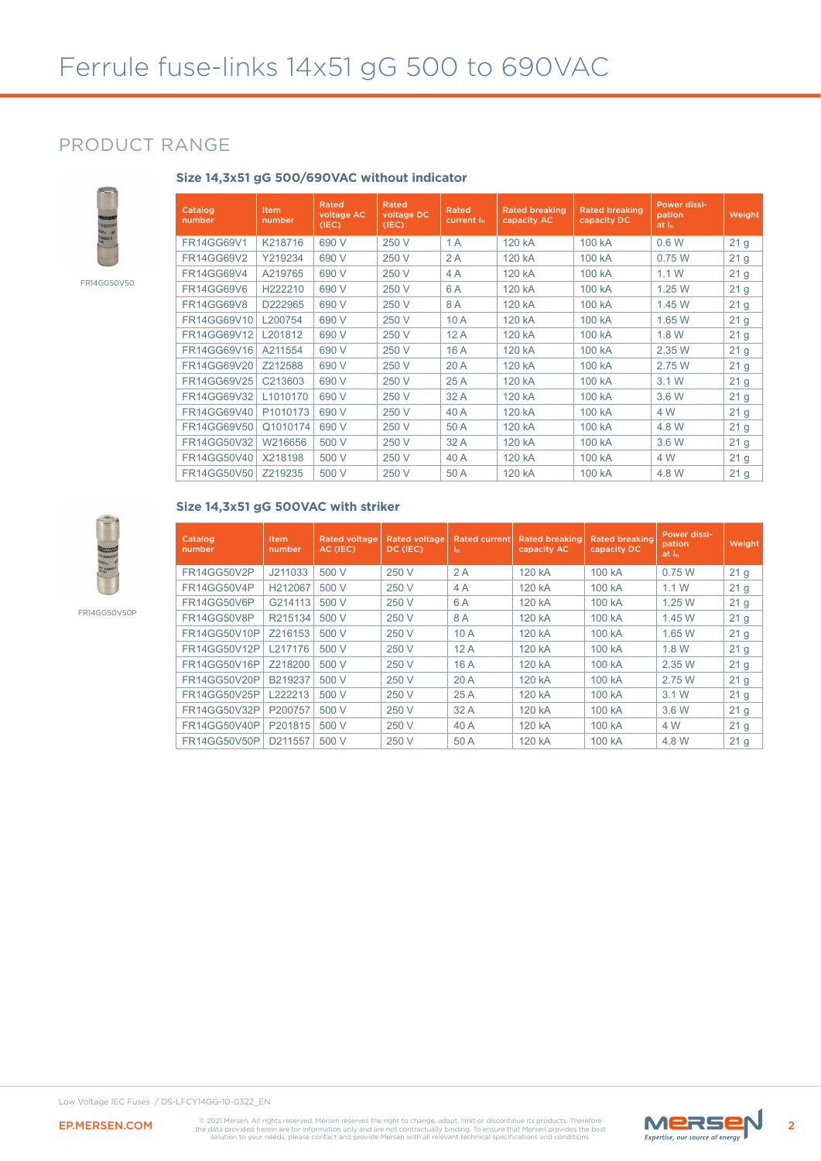**Size 14,3x51 gG 500/690VAC without indicator**

### PRODUCT RANGE



FR14GG50V50

| Catalog<br>number | Item<br>number | Rated<br>voltage AC<br>(IEC) | Rated<br>voltage DC<br>(IEC) | Rated<br>current I <sub>n</sub> | <b>Rated breaking</b><br>capacity AC | <b>Rated breaking</b><br>capacity DC | Power dissi-<br>pation<br>at I <sub>n</sub> | Weight          |
|-------------------|----------------|------------------------------|------------------------------|---------------------------------|--------------------------------------|--------------------------------------|---------------------------------------------|-----------------|
| <b>FR14GG69V1</b> | K218716        | 690 V                        | 250 V                        | 1A                              | 120 kA                               | 100 kA                               | 0.6W                                        | 21 <sub>g</sub> |
| <b>FR14GG69V2</b> | Y219234        | 690 V                        | 250 V                        | 2A                              | 120 kA                               | 100 kA                               | 0.75W                                       | 21 <sub>g</sub> |
| <b>FR14GG69V4</b> | A219765        | 690 V                        | 250 V                        | 4A                              | 120 kA                               | 100 kA                               | 1.1W                                        | 21 <sub>g</sub> |
| <b>FR14GG69V6</b> | H222210        | 690 V                        | 250 V                        | 6 A                             | 120 kA                               | 100 kA                               | 1.25W                                       | 21 <sub>g</sub> |
| <b>FR14GG69V8</b> | D222965        | 690 V                        | 250 V                        | 8A                              | 120 kA                               | 100 kA                               | 1.45 W                                      | 21 <sub>g</sub> |
| FR14GG69V10       | L200754        | 690 V                        | 250 V                        | 10A                             | 120 kA                               | 100 kA                               | 1.65 W                                      | 21 <sub>g</sub> |
| FR14GG69V12       | L201812        | 690 V                        | 250 V                        | 12A                             | 120 kA                               | 100 kA                               | 1.8 W                                       | 21 <sub>g</sub> |
| FR14GG69V16       | A211554        | 690 V                        | 250 V                        | 16A                             | 120 kA                               | 100 kA                               | 2.35 W                                      | 21 <sub>g</sub> |
| FR14GG69V20       | Z212588        | 690 V                        | 250 V                        | 20A                             | 120 kA                               | 100 kA                               | 2.75 W                                      | 21 <sub>g</sub> |
| FR14GG69V25       | C213603        | 690 V                        | 250 V                        | 25A                             | 120 kA                               | 100 kA                               | 3.1W                                        | 21 <sub>g</sub> |
| FR14GG69V32       | L1010170       | 690 V                        | 250 V                        | 32 A                            | 120 kA                               | 100 kA                               | 3.6 W                                       | 21 <sub>g</sub> |
| FR14GG69V40       | P1010173       | 690 V                        | 250 V                        | 40 A                            | 120 kA                               | 100 kA                               | 4 W                                         | 21 <sub>g</sub> |
| FR14GG69V50       | Q1010174       | 690 V                        | 250 V                        | 50 A                            | 120 kA                               | 100 kA                               | 4.8 W                                       | 21 <sub>g</sub> |
| FR14GG50V32       | W216656        | 500 V                        | 250 V                        | 32A                             | 120 kA                               | 100 kA                               | 3.6 W                                       | 21 <sub>g</sub> |
| FR14GG50V40       | X218198        | 500 V                        | 250 V                        | 40 A                            | 120 kA                               | 100 kA                               | 4 W                                         | 21 <sub>g</sub> |
| FR14GG50V50       | Z219235        | 500 V                        | 250 V                        | 50 A                            | 120 kA                               | 100 kA                               | 4.8 W                                       | 21 <sub>g</sub> |

FR14GG50V50P

#### **Size 14,3x51 gG 500VAC with striker**

| Catalog<br>number   | Item<br>number | <b>Rated voltage</b><br>AC (IEC) | <b>Rated voltage</b><br>DC (IEC) | <b>Rated current</b><br>In. | <b>Rated breaking</b><br>capacity AC | <b>Rated breaking</b><br>capacity DC | Power dissi-<br>pation<br>at $I_n$ | Weight          |
|---------------------|----------------|----------------------------------|----------------------------------|-----------------------------|--------------------------------------|--------------------------------------|------------------------------------|-----------------|
| FR14GG50V2P         | J211033        | 500 V                            | 250 V                            | 2A                          | 120 kA                               | 100 kA                               | 0.75W                              | 21 <sub>g</sub> |
| FR14GG50V4P         | H212067        | 500 V                            | 250 V                            | 4 A                         | 120 kA                               | 100 kA                               | 1.1W                               | 21 <sub>g</sub> |
| FR14GG50V6P         | G214113        | 500 V                            | 250 V                            | 6A                          | 120 kA                               | 100 kA                               | 1.25W                              | 21 <sub>g</sub> |
| FR14GG50V8P         | R215134        | 500 V                            | 250 V                            | 8A                          | 120 kA                               | 100 kA                               | 1.45 W                             | 21 <sub>g</sub> |
| FR14GG50V10P        | Z216153        | 500 V                            | 250 V                            | 10A                         | 120 kA                               | 100 kA                               | 1.65 W                             | 21 <sub>g</sub> |
| FR14GG50V12P        | L217176        | 500 V                            | 250 V                            | 12A                         | 120 kA                               | 100 kA                               | 1.8 W                              | 21 <sub>g</sub> |
| FR14GG50V16P        | Z218200        | 500 V                            | 250 V                            | 16 A                        | 120 kA                               | 100 kA                               | 2.35 W                             | 21 <sub>g</sub> |
| FR14GG50V20P        | B219237        | 500 V                            | 250 V                            | 20A                         | 120 kA                               | 100 kA                               | 2.75 W                             | 21 <sub>g</sub> |
| FR14GG50V25P        | L222213        | 500 V                            | 250 V                            | 25A                         | 120 kA                               | 100 kA                               | 3.1 W                              | 21 <sub>g</sub> |
| FR14GG50V32P        | P200757        | 500 V                            | 250 V                            | 32A                         | 120 kA                               | 100 kA                               | 3.6 W                              | 21 <sub>g</sub> |
| <b>FR14GG50V40P</b> | P201815        | 500 V                            | 250 V                            | 40 A                        | 120 kA                               | 100 kA                               | 4 W                                | 21 <sub>g</sub> |
| <b>FR14GG50V50P</b> | D211557        | 500 V                            | 250 V                            | 50 A                        | 120 kA                               | 100 kA                               | 4.8 W                              | 21 <sub>g</sub> |



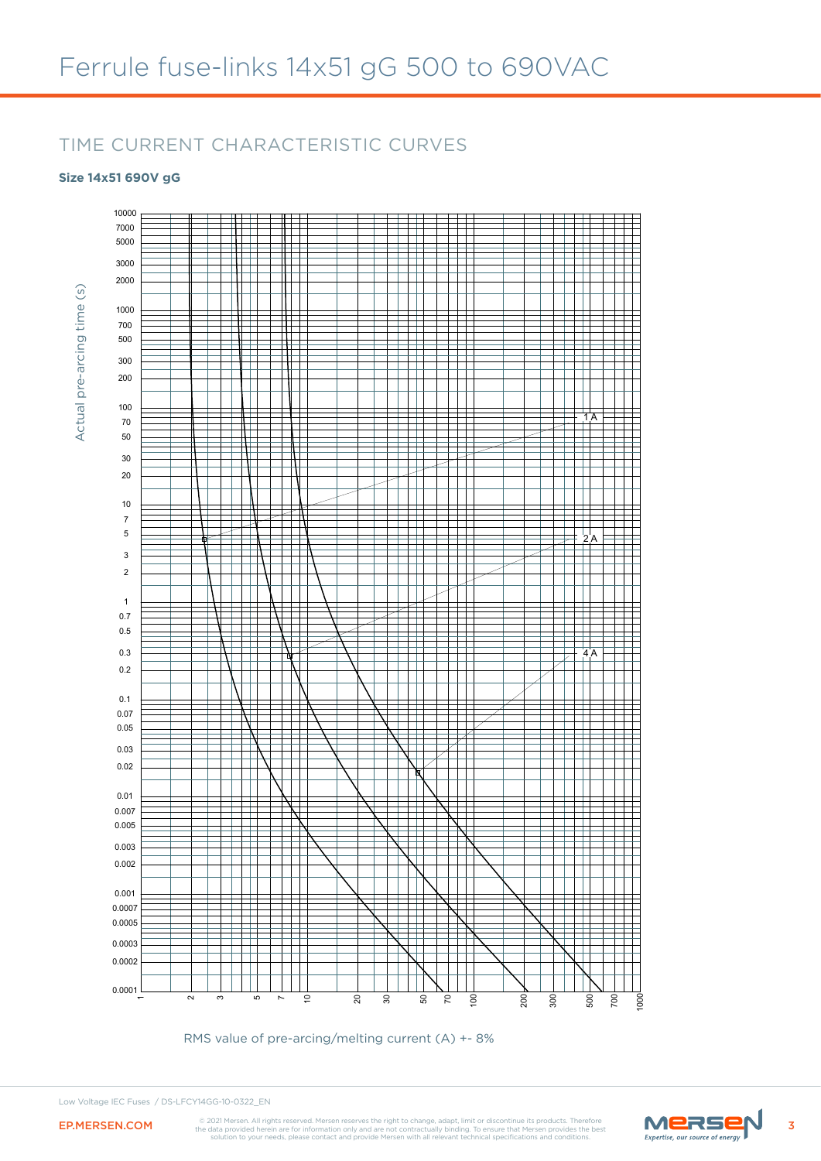### TIME CURRENT CHARACTERISTIC CURVES

### **Size 14x51 690V gG**



RMS value of pre-arcing/melting current (A) +- 8%

Low Voltage IEC Fuses / DS-LFCY14GG-10-0322\_EN



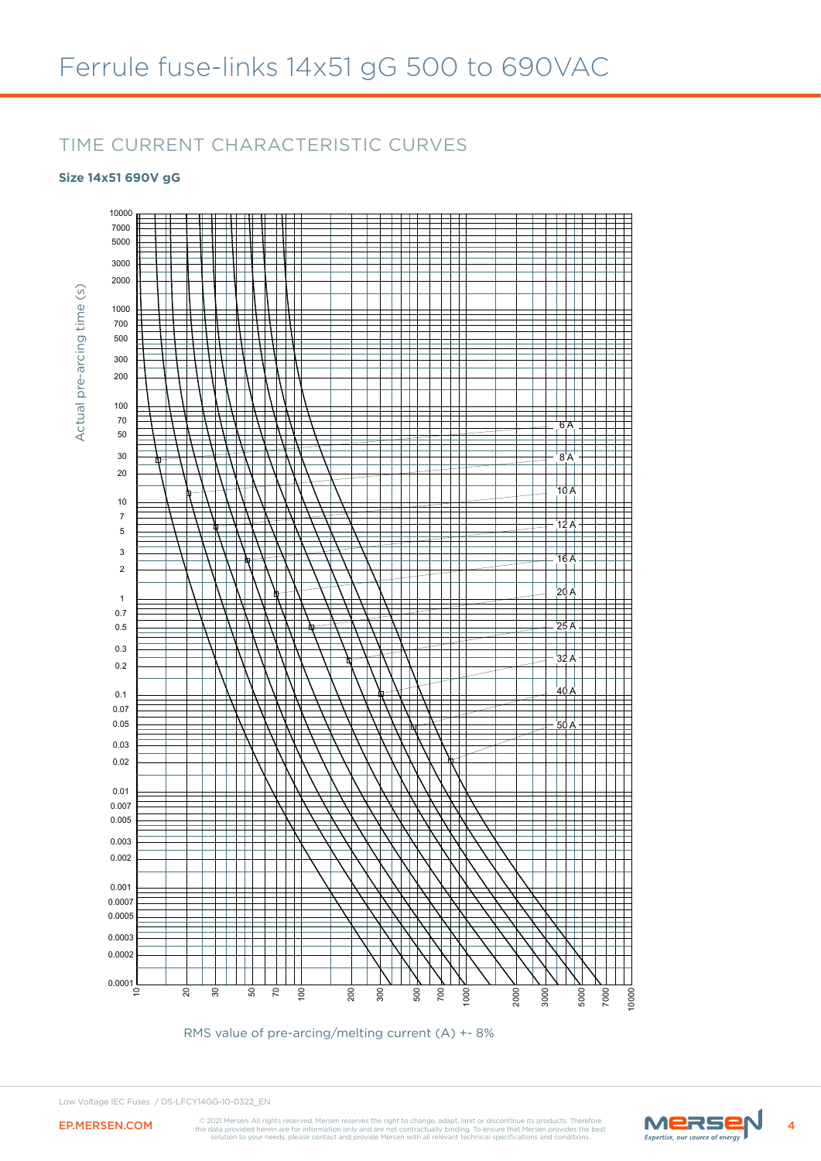### TIME CURRENT CHARACTERISTIC CURVES

### **Size 14x51 690V gG**

Actual pre-arcing time (s)



RMS value of pre-arcing/melting current (A) +- 8%



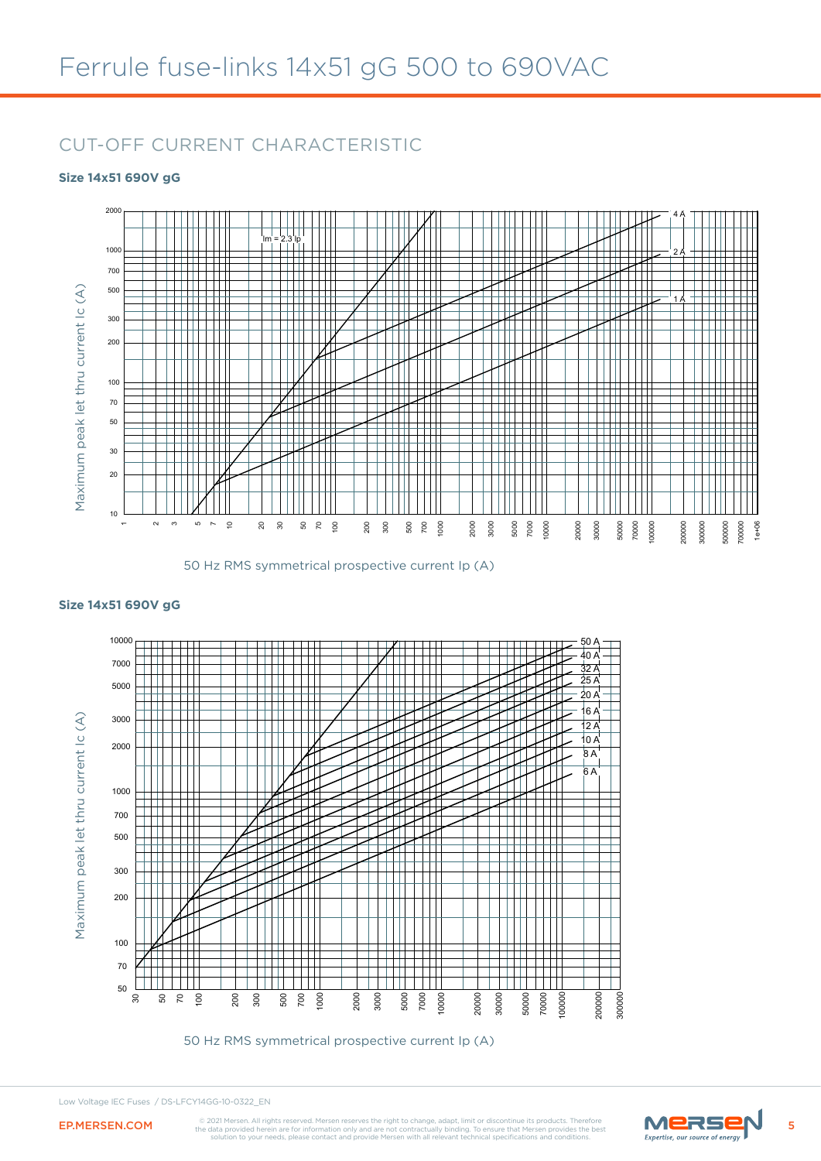### CUT-OFF CURRENT CHARACTERISTIC

#### **Size 14x51 690V gG**



<sup>50</sup> Hz RMS symmetrical prospective current Ip (A)



**Size 14x51 690V gG**

50 Hz RMS symmetrical prospective current Ip (A)

#### Low Voltage IEC Fuses / DS-LFCY14GG-10-0322\_EN

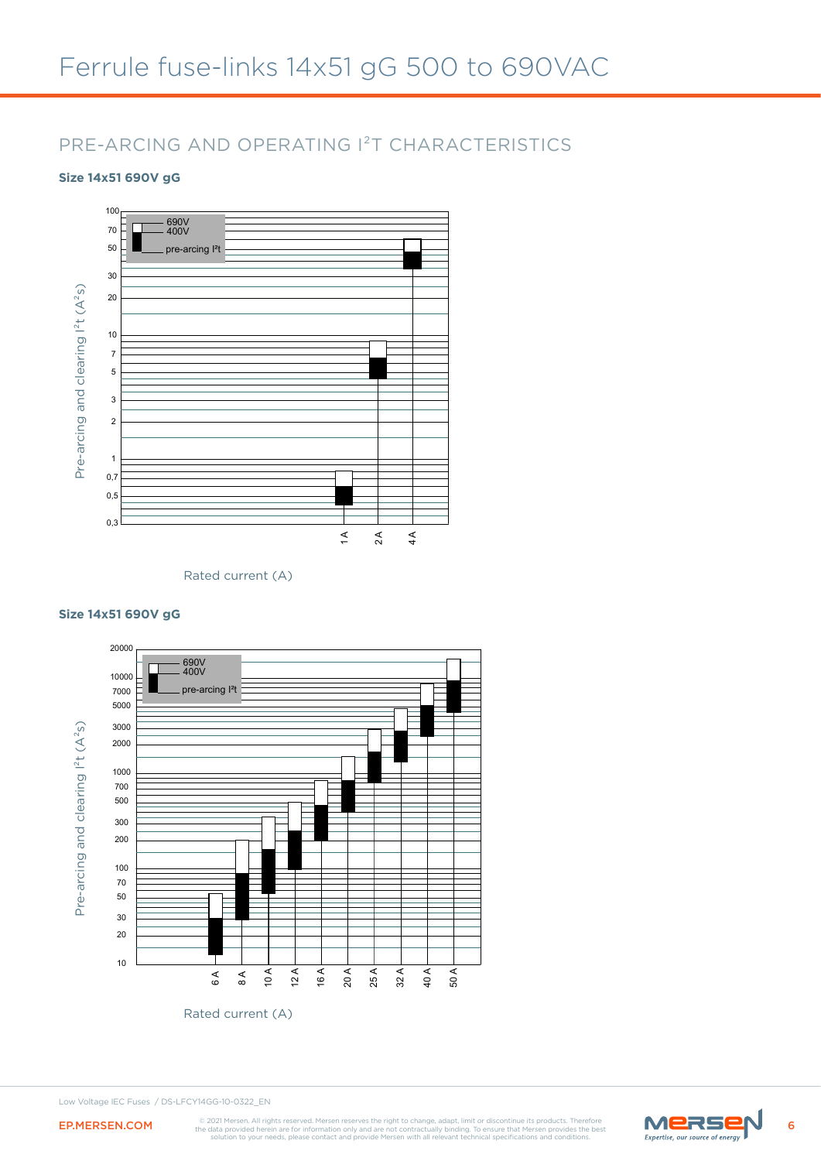## PRE-ARCING AND OPERATING I²T CHARACTERISTICS

### **Size 14x51 690V gG**



Rated current (A)



#### **Size 14x51 690V gG**

Low Voltage IEC Fuses / DS-LFCY14GG-10-0322\_EN